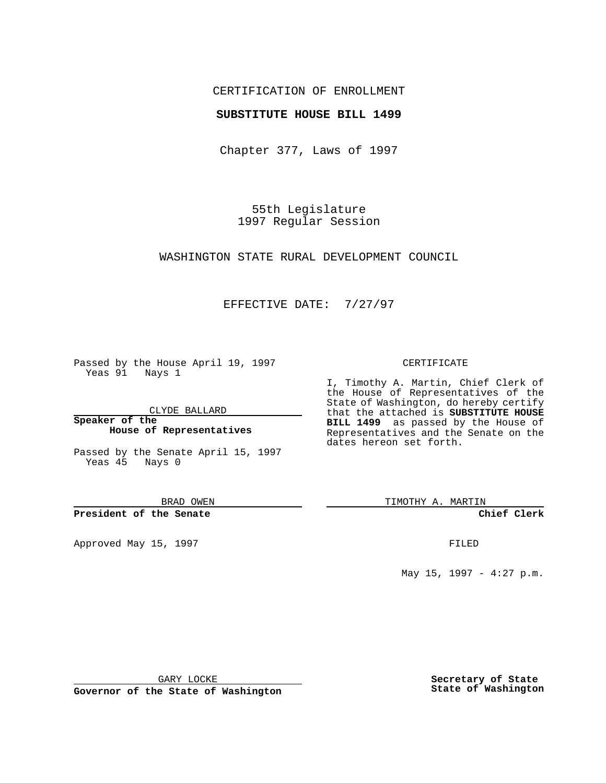### CERTIFICATION OF ENROLLMENT

### **SUBSTITUTE HOUSE BILL 1499**

Chapter 377, Laws of 1997

55th Legislature 1997 Regular Session

WASHINGTON STATE RURAL DEVELOPMENT COUNCIL

## EFFECTIVE DATE: 7/27/97

Passed by the House April 19, 1997 Yeas 91 Nays 1

CLYDE BALLARD

**Speaker of the House of Representatives**

Passed by the Senate April 15, 1997 Yeas 45 Nays 0

BRAD OWEN

**President of the Senate**

Approved May 15, 1997 **FILED** 

#### CERTIFICATE

I, Timothy A. Martin, Chief Clerk of the House of Representatives of the State of Washington, do hereby certify that the attached is **SUBSTITUTE HOUSE BILL 1499** as passed by the House of Representatives and the Senate on the dates hereon set forth.

TIMOTHY A. MARTIN

**Chief Clerk**

May 15, 1997 - 4:27 p.m.

GARY LOCKE

**Governor of the State of Washington**

**Secretary of State State of Washington**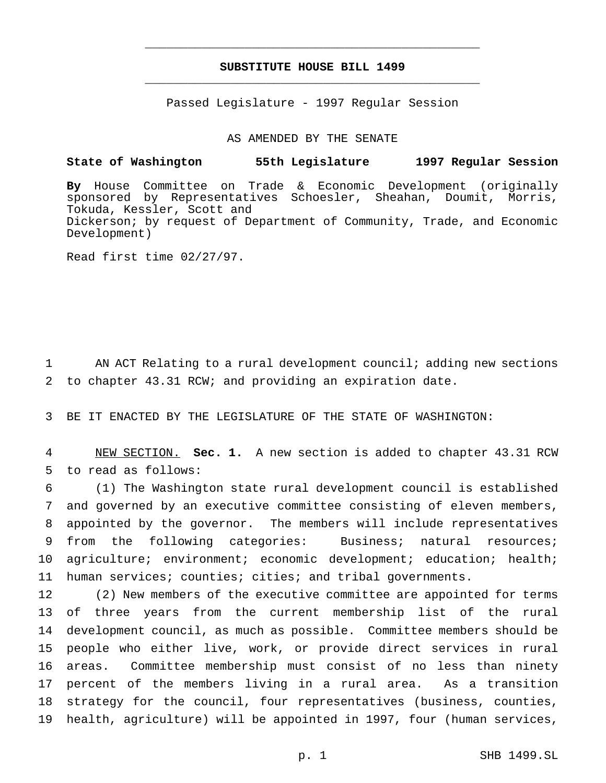## **SUBSTITUTE HOUSE BILL 1499** \_\_\_\_\_\_\_\_\_\_\_\_\_\_\_\_\_\_\_\_\_\_\_\_\_\_\_\_\_\_\_\_\_\_\_\_\_\_\_\_\_\_\_\_\_\_\_

\_\_\_\_\_\_\_\_\_\_\_\_\_\_\_\_\_\_\_\_\_\_\_\_\_\_\_\_\_\_\_\_\_\_\_\_\_\_\_\_\_\_\_\_\_\_\_

Passed Legislature - 1997 Regular Session

AS AMENDED BY THE SENATE

# **State of Washington 55th Legislature 1997 Regular Session**

**By** House Committee on Trade & Economic Development (originally sponsored by Representatives Schoesler, Sheahan, Doumit, Morris, Tokuda, Kessler, Scott and Dickerson; by request of Department of Community, Trade, and Economic Development)

Read first time 02/27/97.

1 AN ACT Relating to a rural development council; adding new sections 2 to chapter 43.31 RCW; and providing an expiration date.

3 BE IT ENACTED BY THE LEGISLATURE OF THE STATE OF WASHINGTON:

4 NEW SECTION. **Sec. 1.** A new section is added to chapter 43.31 RCW 5 to read as follows:

 (1) The Washington state rural development council is established and governed by an executive committee consisting of eleven members, appointed by the governor. The members will include representatives from the following categories: Business; natural resources; 10 agriculture; environment; economic development; education; health; human services; counties; cities; and tribal governments.

 (2) New members of the executive committee are appointed for terms of three years from the current membership list of the rural development council, as much as possible. Committee members should be people who either live, work, or provide direct services in rural areas. Committee membership must consist of no less than ninety percent of the members living in a rural area. As a transition strategy for the council, four representatives (business, counties, health, agriculture) will be appointed in 1997, four (human services,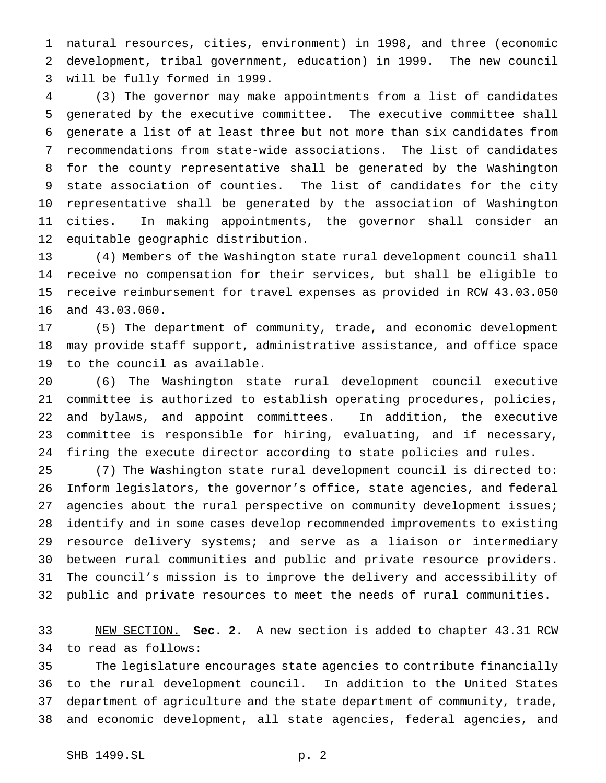natural resources, cities, environment) in 1998, and three (economic development, tribal government, education) in 1999. The new council will be fully formed in 1999.

 (3) The governor may make appointments from a list of candidates generated by the executive committee. The executive committee shall generate a list of at least three but not more than six candidates from recommendations from state-wide associations. The list of candidates for the county representative shall be generated by the Washington state association of counties. The list of candidates for the city representative shall be generated by the association of Washington cities. In making appointments, the governor shall consider an equitable geographic distribution.

 (4) Members of the Washington state rural development council shall receive no compensation for their services, but shall be eligible to receive reimbursement for travel expenses as provided in RCW 43.03.050 and 43.03.060.

 (5) The department of community, trade, and economic development may provide staff support, administrative assistance, and office space to the council as available.

 (6) The Washington state rural development council executive committee is authorized to establish operating procedures, policies, and bylaws, and appoint committees. In addition, the executive committee is responsible for hiring, evaluating, and if necessary, firing the execute director according to state policies and rules.

 (7) The Washington state rural development council is directed to: Inform legislators, the governor's office, state agencies, and federal 27 agencies about the rural perspective on community development issues; identify and in some cases develop recommended improvements to existing resource delivery systems; and serve as a liaison or intermediary between rural communities and public and private resource providers. The council's mission is to improve the delivery and accessibility of public and private resources to meet the needs of rural communities.

 NEW SECTION. **Sec. 2.** A new section is added to chapter 43.31 RCW to read as follows:

 The legislature encourages state agencies to contribute financially to the rural development council. In addition to the United States department of agriculture and the state department of community, trade, and economic development, all state agencies, federal agencies, and